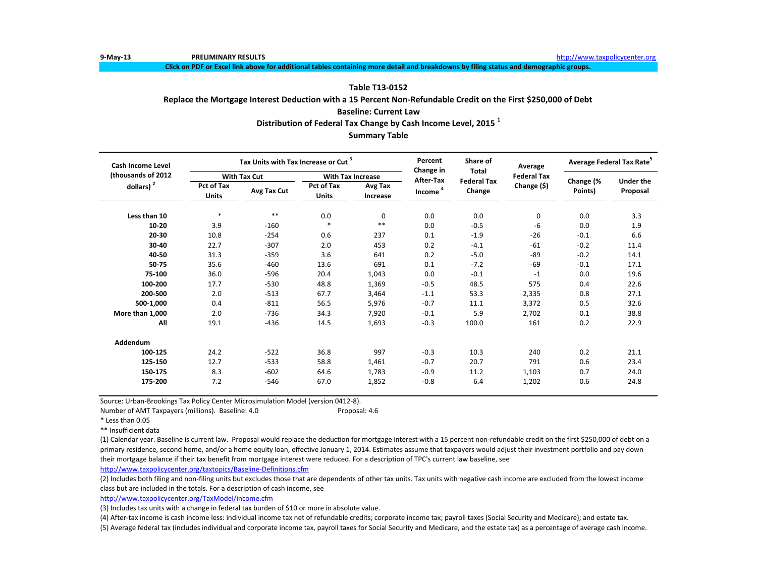**Click on PDF or Excel link above for additional tables containing more detail and breakdowns by filing status and demographic groups.**

# **Table T13-0152**

**Replace the Mortgage Interest Deduction with a 15 Percent Non-Refundable Credit on the First \$250,000 of Debt**

# **Baseline: Current Law**

**Distribution of Federal Tax Change by Cash Income Level, 2015 <sup>1</sup>**

# **Summary Table**

| Cash Income Level   |                            | Tax Units with Tax Increase or Cut <sup>3</sup> |                                   |                          | Percent<br>Change in | Share of<br><b>Total</b> | Average            | Average Federal Tax Rate <sup>5</sup> |                  |
|---------------------|----------------------------|-------------------------------------------------|-----------------------------------|--------------------------|----------------------|--------------------------|--------------------|---------------------------------------|------------------|
| (thousands of 2012) |                            | <b>With Tax Cut</b>                             |                                   | <b>With Tax Increase</b> | <b>After-Tax</b>     | <b>Federal Tax</b>       | <b>Federal Tax</b> |                                       | <b>Under the</b> |
| dollars) $2$        | Pct of Tax<br><b>Units</b> | Avg Tax Cut                                     | <b>Pct of Tax</b><br><b>Units</b> | Avg Tax<br>Increase      | Income <sup>4</sup>  | Change                   | Change (\$)        | Change (%<br>Points)                  | Proposal         |
| Less than 10        | $\ast$                     | $***$                                           | 0.0                               | 0                        | 0.0                  | 0.0                      | 0                  | 0.0                                   | 3.3              |
| 10-20               | 3.9                        | $-160$                                          | $\ast$                            | $* *$                    | 0.0                  | $-0.5$                   | -6                 | 0.0                                   | 1.9              |
| 20-30               | 10.8                       | $-254$                                          | 0.6                               | 237                      | 0.1                  | $-1.9$                   | $-26$              | $-0.1$                                | 6.6              |
| 30-40               | 22.7                       | $-307$                                          | 2.0                               | 453                      | 0.2                  | $-4.1$                   | $-61$              | $-0.2$                                | 11.4             |
| 40-50               | 31.3                       | $-359$                                          | 3.6                               | 641                      | 0.2                  | $-5.0$                   | $-89$              | $-0.2$                                | 14.1             |
| 50-75               | 35.6                       | $-460$                                          | 13.6                              | 691                      | 0.1                  | $-7.2$                   | $-69$              | $-0.1$                                | 17.1             |
| 75-100              | 36.0                       | $-596$                                          | 20.4                              | 1,043                    | 0.0                  | $-0.1$                   | $-1$               | 0.0                                   | 19.6             |
| 100-200             | 17.7                       | $-530$                                          | 48.8                              | 1,369                    | $-0.5$               | 48.5                     | 575                | 0.4                                   | 22.6             |
| 200-500             | 2.0                        | $-513$                                          | 67.7                              | 3,464                    | $-1.1$               | 53.3                     | 2,335              | 0.8                                   | 27.1             |
| 500-1,000           | 0.4                        | $-811$                                          | 56.5                              | 5,976                    | $-0.7$               | 11.1                     | 3,372              | 0.5                                   | 32.6             |
| More than 1,000     | 2.0                        | $-736$                                          | 34.3                              | 7,920                    | $-0.1$               | 5.9                      | 2.702              | 0.1                                   | 38.8             |
| All                 | 19.1                       | $-436$                                          | 14.5                              | 1,693                    | $-0.3$               | 100.0                    | 161                | 0.2                                   | 22.9             |
| Addendum            |                            |                                                 |                                   |                          |                      |                          |                    |                                       |                  |
| 100-125             | 24.2                       | $-522$                                          | 36.8                              | 997                      | $-0.3$               | 10.3                     | 240                | 0.2                                   | 21.1             |
| 125-150             | 12.7                       | $-533$                                          | 58.8                              | 1,461                    | $-0.7$               | 20.7                     | 791                | 0.6                                   | 23.4             |
| 150-175             | 8.3                        | $-602$                                          | 64.6                              | 1,783                    | $-0.9$               | 11.2                     | 1,103              | 0.7                                   | 24.0             |
| 175-200             | 7.2                        | $-546$                                          | 67.0                              | 1,852                    | $-0.8$               | 6.4                      | 1,202              | 0.6                                   | 24.8             |

Source: Urban-Brookings Tax Policy Center Microsimulation Model (version 0412-8).

Number of AMT Taxpayers (millions). Baseline: 4.0 Proposal: 4.6

\*\* Insufficient data

(1) Calendar year. Baseline is current law. Proposal would replace the deduction for mortgage interest with a 15 percent non-refundable credit on the first \$250,000 of debt on a primary residence, second home, and/or a home equity loan, effective January 1, 2014. Estimates assume that taxpayers would adjust their investment portfolio and pay down their mortgage balance if their tax benefit from mortgage interest were reduced. For a description of TPC's current law baseline, see

<http://www.taxpolicycenter.org/taxtopics/Baseline-Definitions.cfm>

(2) Includes both filing and non-filing units but excludes those that are dependents of other tax units. Tax units with negative cash income are excluded from the lowest income class but are included in the totals. For a description of cash income, see

[http://www.taxpolicycente](http://www.taxpolicycenter.org/TaxModel/income.cfm)r.org/TaxModel/income.cfm

(3) Includes tax units with a change in federal tax burden of \$10 or more in absolute value.

(4) After-tax income is cash income less: individual income tax net of refundable credits; corporate income tax; payroll taxes (Social Security and Medicare); and estate tax.

<sup>\*</sup> Less than 0.05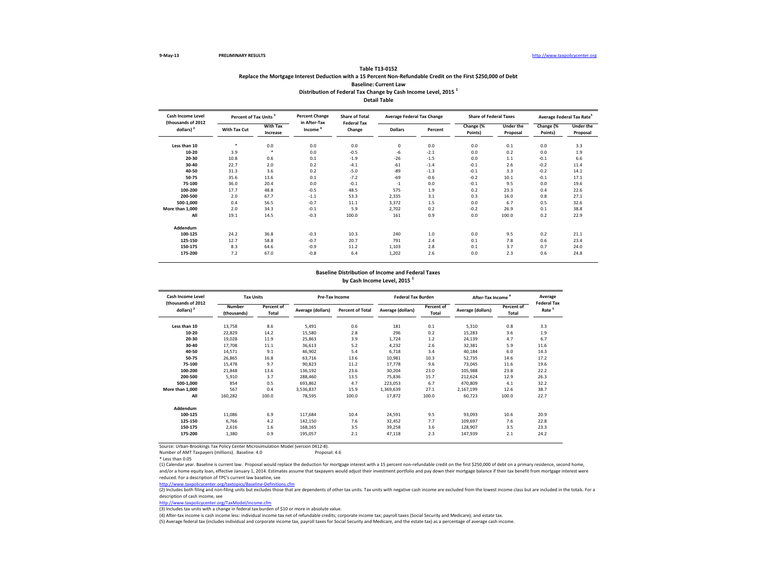## **Table T13-0152 Replace the Mortgage Interest Deduction with a 15 Percent Non-Refundable Credit on the First \$250,000 of Debt Baseline: Current Law Distribution of Federal Tax Change by Cash Income Level, 2015 <sup>1</sup> Detail Table**

| Cash Income Level<br>(thousands of 2012 |              | Percent of Tax Units <sup>3</sup> |                                     | <b>Share of Total</b><br><b>Federal Tax</b> | <b>Average Federal Tax Change</b> |         | <b>Share of Federal Taxes</b> |                              | Average Federal Tax Rate <sup>5</sup> |                              |
|-----------------------------------------|--------------|-----------------------------------|-------------------------------------|---------------------------------------------|-----------------------------------|---------|-------------------------------|------------------------------|---------------------------------------|------------------------------|
| dollars) $2$                            | With Tax Cut | <b>With Tax</b><br>Increase       | in After-Tax<br>Income <sup>4</sup> | Change                                      | <b>Dollars</b>                    | Percent | Change (%<br>Points)          | <b>Under the</b><br>Proposal | Change (%<br>Points)                  | <b>Under the</b><br>Proposal |
| Less than 10                            |              | 0.0                               | 0.0                                 | 0.0                                         | $\mathbf 0$                       | 0.0     | 0.0                           | 0.1                          | 0.0                                   | 3.3                          |
| 10-20                                   | 3.9          |                                   | 0.0                                 | $-0.5$                                      | $-6$                              | $-2.1$  | 0.0                           | 0.2                          | 0.0                                   | 1.9                          |
| 20-30                                   | 10.8         | 0.6                               | 0.1                                 | $-1.9$                                      | $-26$                             | $-1.5$  | 0.0                           | 1.1                          | $-0.1$                                | 6.6                          |
| 30-40                                   | 22.7         | 2.0                               | 0.2                                 | $-4.1$                                      | $-61$                             | $-1.4$  | $-0.1$                        | 2.6                          | $-0.2$                                | 11.4                         |
| 40-50                                   | 31.3         | 3.6                               | 0.2                                 | $-5.0$                                      | $-89$                             | $-1.3$  | $-0.1$                        | 3.3                          | $-0.2$                                | 14.1                         |
| 50-75                                   | 35.6         | 13.6                              | 0.1                                 | $-7.2$                                      | $-69$                             | $-0.6$  | $-0.2$                        | 10.1                         | $-0.1$                                | 17.1                         |
| 75-100                                  | 36.0         | 20.4                              | 0.0                                 | $-0.1$                                      | $-1$                              | 0.0     | $-0.1$                        | 9.5                          | 0.0                                   | 19.6                         |
| 100-200                                 | 17.7         | 48.8                              | $-0.5$                              | 48.5                                        | 575                               | 1.9     | 0.2                           | 23.3                         | 0.4                                   | 22.6                         |
| 200-500                                 | 2.0          | 67.7                              | $-1.1$                              | 53.3                                        | 2,335                             | 3.1     | 0.3                           | 16.0                         | 0.8                                   | 27.1                         |
| 500-1,000                               | 0.4          | 56.5                              | $-0.7$                              | 11.1                                        | 3,372                             | 1.5     | 0.0                           | 6.7                          | 0.5                                   | 32.6                         |
| More than 1,000                         | 2.0          | 34.3                              | $-0.1$                              | 5.9                                         | 2,702                             | 0.2     | $-0.2$                        | 26.9                         | 0.1                                   | 38.8                         |
| All                                     | 19.1         | 14.5                              | $-0.3$                              | 100.0                                       | 161                               | 0.9     | 0.0                           | 100.0                        | 0.2                                   | 22.9                         |
| Addendum                                |              |                                   |                                     |                                             |                                   |         |                               |                              |                                       |                              |
| 100-125                                 | 24.2         | 36.8                              | $-0.3$                              | 10.3                                        | 240                               | 1.0     | 0.0                           | 9.5                          | 0.2                                   | 21.1                         |
| 125-150                                 | 12.7         | 58.8                              | $-0.7$                              | 20.7                                        | 791                               | 2.4     | 0.1                           | 7.8                          | 0.6                                   | 23.4                         |
| 150-175                                 | 8.3          | 64.6                              | $-0.9$                              | 11.2                                        | 1,103                             | 2.8     | 0.1                           | 3.7                          | 0.7                                   | 24.0                         |
| 175-200                                 | 7.2          | 67.0                              | $-0.8$                              | 6.4                                         | 1,202                             | 2.6     | 0.0                           | 2.3                          | 0.6                                   | 24.8                         |

# **Baseline Distribution of Income and Federal Taxes**

**by Cash Income Level, 2015 <sup>1</sup>**

| Cash Income Level                  |                       | <b>Tax Units</b>           |                   | Pre-Tax Income          | <b>Federal Tax Burden</b> |                            | After-Tax Income  |                     | Average<br><b>Federal Tax</b> |
|------------------------------------|-----------------------|----------------------------|-------------------|-------------------------|---------------------------|----------------------------|-------------------|---------------------|-------------------------------|
| (thousands of 2012<br>dollars) $2$ | Number<br>(thousands) | Percent of<br><b>Total</b> | Average (dollars) | <b>Percent of Total</b> | Average (dollars)         | Percent of<br><b>Total</b> | Average (dollars) | Percent of<br>Total | Rate <sup>5</sup>             |
| Less than 10                       | 13,758                | 8.6                        | 5,491             | 0.6                     | 181                       | 0.1                        | 5,310             | 0.8                 | 3.3                           |
| 10-20                              | 22,829                | 14.2                       | 15,580            | 2.8                     | 296                       | 0.2                        | 15,283            | 3.6                 | 1.9                           |
| 20-30                              | 19,028                | 11.9                       | 25,863            | 3.9                     | 1,724                     | 1.2                        | 24,139            | 4.7                 | 6.7                           |
| 30-40                              | 17,708                | 11.1                       | 36,613            | 5.2                     | 4,232                     | 2.6                        | 32,381            | 5.9                 | 11.6                          |
| 40-50                              | 14,571                | 9.1                        | 46,902            | 5.4                     | 6,718                     | 3.4                        | 40,184            | 6.0                 | 14.3                          |
| 50-75                              | 26,865                | 16.8                       | 63,716            | 13.6                    | 10,981                    | 10.3                       | 52,735            | 14.6                | 17.2                          |
| 75-100                             | 15.478                | 9.7                        | 90,823            | 11.2                    | 17.778                    | 9.6                        | 73.045            | 11.6                | 19.6                          |
| 100-200                            | 21,848                | 13.6                       | 136,192           | 23.6                    | 30,204                    | 23.0                       | 105,988           | 23.8                | 22.2                          |
| 200-500                            | 5.910                 | 3.7                        | 288.460           | 13.5                    | 75,836                    | 15.7                       | 212.624           | 12.9                | 26.3                          |
| 500-1.000                          | 854                   | 0.5                        | 693,862           | 4.7                     | 223,053                   | 6.7                        | 470,809           | 4.1                 | 32.2                          |
| More than 1,000                    | 567                   | 0.4                        | 3,536,837         | 15.9                    | 1,369,639                 | 27.1                       | 2,167,199         | 12.6                | 38.7                          |
| All                                | 160,282               | 100.0                      | 78,595            | 100.0                   | 17,872                    | 100.0                      | 60,723            | 100.0               | 22.7                          |
| Addendum                           |                       |                            |                   |                         |                           |                            |                   |                     |                               |
| 100-125                            | 11,086                | 6.9                        | 117,684           | 10.4                    | 24,591                    | 9.5                        | 93.093            | 10.6                | 20.9                          |
| 125-150                            | 6,766                 | 4.2                        | 142,150           | 7.6                     | 32,452                    | 7.7                        | 109,697           | 7.6                 | 22.8                          |
| 150-175                            | 2,616                 | 1.6                        | 168,165           | 3.5                     | 39,258                    | 3.6                        | 128,907           | 3.5                 | 23.3                          |
| 175-200                            | 1,380                 | 0.9                        | 195,057           | 2.1                     | 47,118                    | 2.3                        | 147,939           | 2.1                 | 24.2                          |
|                                    |                       |                            |                   |                         |                           |                            |                   |                     |                               |

Source: Urban-Brookings Tax Policy Center Microsimulation Model (version 0412-8). Number of AMT Taxpayers (millions). Baseline: 4.0

(1) Calendar year. Baseline is current law. Proposal would replace the deduction for mortgage interest with a 15 percent non-refundable credit on the first \$250,000 of debt on a primary residence, second home, and/or a home equity loan, effective January 1, 2014. Estimates assume that taxpayers would adjust their investment portfolio and pay down their mortgage balance if their tax benefit from mortgage interest were reduced. For a description of TPC's current law baseline, see

<u><http://www.taxpolicycenter.org/taxtopics/Baseline-Definitions.cfm></u><br>(2) Includes both filing and non-filing units but excludes those that are dependents of other tax units. Tax units with negative cash income are excluded description of cash income, see

[http://www.taxpolicycente](http://www.taxpolicycenter.org/TaxModel/income.cfm)r.org/TaxModel/income.cfm

(3) Includes tax units with a change in federal tax burden of \$10 or more in absolute value.

(4) After-tax income is cash income less: individual income tax net of refundable credits; corporate income tax; payroll taxes (Social Security and Medicare); and estate tax.

<sup>\*</sup> Less than 0.05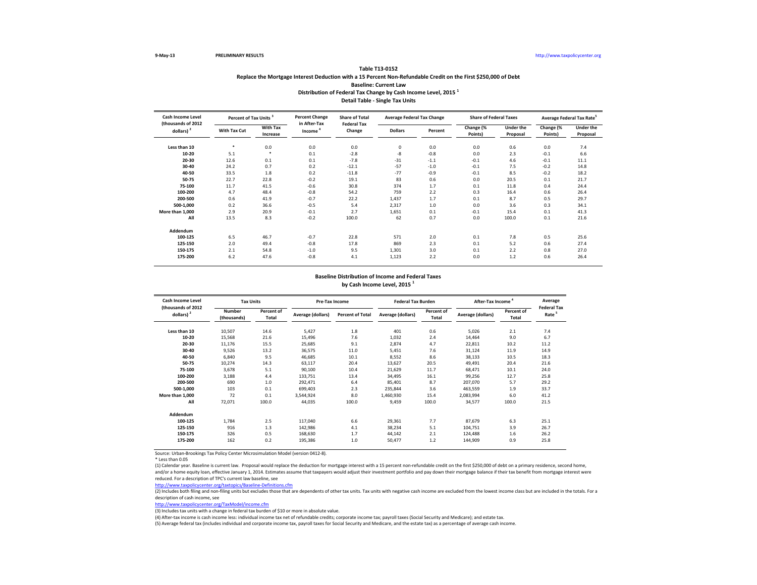## **Table T13-0152 Replace the Mortgage Interest Deduction with a 15 Percent Non-Refundable Credit on the First \$250,000 of Debt Baseline: Current Law Distribution of Federal Tax Change by Cash Income Level, 2015 <sup>1</sup> Detail Table - Single Tax Units**

| <b>Cash Income Level</b>           |              | Percent of Tax Units <sup>3</sup> |                                     | <b>Share of Total</b><br><b>Federal Tax</b> | <b>Average Federal Tax Change</b> |         | <b>Share of Federal Taxes</b> |                              | Average Federal Tax Rate <sup>5</sup> |                              |
|------------------------------------|--------------|-----------------------------------|-------------------------------------|---------------------------------------------|-----------------------------------|---------|-------------------------------|------------------------------|---------------------------------------|------------------------------|
| (thousands of 2012<br>dollars) $2$ | With Tax Cut | <b>With Tax</b><br>Increase       | in After-Tax<br>Income <sup>4</sup> | Change                                      | <b>Dollars</b>                    | Percent | Change (%<br>Points)          | <b>Under the</b><br>Proposal | Change (%<br>Points)                  | <b>Under the</b><br>Proposal |
| Less than 10                       | ×            | 0.0                               | 0.0                                 | 0.0                                         | $\mathbf 0$                       | 0.0     | 0.0                           | 0.6                          | 0.0                                   | 7.4                          |
| 10-20                              | 5.1          | $\ast$                            | 0.1                                 | $-2.8$                                      | $-8$                              | $-0.8$  | 0.0                           | 2.3                          | $-0.1$                                | 6.6                          |
| 20-30                              | 12.6         | 0.1                               | 0.1                                 | $-7.8$                                      | $-31$                             | $-1.1$  | $-0.1$                        | 4.6                          | $-0.1$                                | 11.1                         |
| 30-40                              | 24.2         | 0.7                               | 0.2                                 | $-12.1$                                     | $-57$                             | $-1.0$  | $-0.1$                        | 7.5                          | $-0.2$                                | 14.8                         |
| 40-50                              | 33.5         | 1.8                               | 0.2                                 | $-11.8$                                     | $-77$                             | $-0.9$  | $-0.1$                        | 8.5                          | $-0.2$                                | 18.2                         |
| 50-75                              | 22.7         | 22.8                              | $-0.2$                              | 19.1                                        | 83                                | 0.6     | 0.0                           | 20.5                         | 0.1                                   | 21.7                         |
| 75-100                             | 11.7         | 41.5                              | $-0.6$                              | 30.8                                        | 374                               | 1.7     | 0.1                           | 11.8                         | 0.4                                   | 24.4                         |
| 100-200                            | 4.7          | 48.4                              | $-0.8$                              | 54.2                                        | 759                               | 2.2     | 0.3                           | 16.4                         | 0.6                                   | 26.4                         |
| 200-500                            | 0.6          | 41.9                              | $-0.7$                              | 22.2                                        | 1,437                             | 1.7     | 0.1                           | 8.7                          | 0.5                                   | 29.7                         |
| 500-1,000                          | 0.2          | 36.6                              | $-0.5$                              | 5.4                                         | 2,317                             | 1.0     | 0.0                           | 3.6                          | 0.3                                   | 34.1                         |
| More than 1,000                    | 2.9          | 20.9                              | $-0.1$                              | 2.7                                         | 1,651                             | 0.1     | $-0.1$                        | 15.4                         | 0.1                                   | 41.3                         |
| All                                | 13.5         | 8.3                               | $-0.2$                              | 100.0                                       | 62                                | 0.7     | 0.0                           | 100.0                        | 0.1                                   | 21.6                         |
| Addendum                           |              |                                   |                                     |                                             |                                   |         |                               |                              |                                       |                              |
| 100-125                            | 6.5          | 46.7                              | $-0.7$                              | 22.8                                        | 571                               | 2.0     | 0.1                           | 7.8                          | 0.5                                   | 25.6                         |
| 125-150                            | 2.0          | 49.4                              | $-0.8$                              | 17.8                                        | 869                               | 2.3     | 0.1                           | 5.2                          | 0.6                                   | 27.4                         |
| 150-175                            | 2.1          | 54.8                              | $-1.0$                              | 9.5                                         | 1,301                             | 3.0     | 0.1                           | 2.2                          | 0.8                                   | 27.0                         |
| 175-200                            | 6.2          | 47.6                              | $-0.8$                              | 4.1                                         | 1,123                             | 2.2     | 0.0                           | 1.2                          | 0.6                                   | 26.4                         |

### **Baseline Distribution of Income and Federal Taxes**

**by Cash Income Level, 2015 <sup>1</sup>**

| Cash Income Level<br>(thousands of 2012 |                              | <b>Tax Units</b>    |                   | Pre-Tax Income          |                   | <b>Federal Tax Burden</b> | After-Tax Income <sup>4</sup> |                     | Average<br><b>Federal Tax</b> |
|-----------------------------------------|------------------------------|---------------------|-------------------|-------------------------|-------------------|---------------------------|-------------------------------|---------------------|-------------------------------|
| dollars) $2$                            | <b>Number</b><br>(thousands) | Percent of<br>Total | Average (dollars) | <b>Percent of Total</b> | Average (dollars) | Percent of<br>Total       | Average (dollars)             | Percent of<br>Total | Rate <sup>5</sup>             |
| Less than 10                            | 10,507                       | 14.6                | 5,427             | 1.8                     | 401               | 0.6                       | 5,026                         | 2.1                 | 7.4                           |
| 10-20                                   | 15,568                       | 21.6                | 15,496            | 7.6                     | 1,032             | 2.4                       | 14,464                        | 9.0                 | 6.7                           |
| 20-30                                   | 11,176                       | 15.5                | 25,685            | 9.1                     | 2,874             | 4.7                       | 22,811                        | 10.2                | 11.2                          |
| 30-40                                   | 9,526                        | 13.2                | 36,575            | 11.0                    | 5,451             | 7.6                       | 31,124                        | 11.9                | 14.9                          |
| 40-50                                   | 6,840                        | 9.5                 | 46,685            | 10.1                    | 8,552             | 8.6                       | 38,133                        | 10.5                | 18.3                          |
| 50-75                                   | 10,274                       | 14.3                | 63,117            | 20.4                    | 13,627            | 20.5                      | 49,491                        | 20.4                | 21.6                          |
| 75-100                                  | 3,678                        | 5.1                 | 90,100            | 10.4                    | 21,629            | 11.7                      | 68,471                        | 10.1                | 24.0                          |
| 100-200                                 | 3,188                        | 4.4                 | 133,751           | 13.4                    | 34,495            | 16.1                      | 99,256                        | 12.7                | 25.8                          |
| 200-500                                 | 690                          | 1.0                 | 292,471           | 6.4                     | 85,401            | 8.7                       | 207,070                       | 5.7                 | 29.2                          |
| 500-1,000                               | 103                          | 0.1                 | 699,403           | 2.3                     | 235,844           | 3.6                       | 463,559                       | 1.9                 | 33.7                          |
| More than 1.000                         | 72                           | 0.1                 | 3,544,924         | 8.0                     | 1,460,930         | 15.4                      | 2,083,994                     | 6.0                 | 41.2                          |
| All                                     | 72,071                       | 100.0               | 44,035            | 100.0                   | 9,459             | 100.0                     | 34,577                        | 100.0               | 21.5                          |
| Addendum                                |                              |                     |                   |                         |                   |                           |                               |                     |                               |
| 100-125                                 | 1.784                        | 2.5                 | 117,040           | 6.6                     | 29,361            | 7.7                       | 87,679                        | 6.3                 | 25.1                          |
| 125-150                                 | 916                          | 1.3                 | 142,986           | 4.1                     | 38,234            | 5.1                       | 104,751                       | 3.9                 | 26.7                          |
| 150-175                                 | 326                          | 0.5                 | 168,630           | 1.7                     | 44,142            | 2.1                       | 124,488                       | 1.6                 | 26.2                          |
| 175-200                                 | 162                          | 0.2                 | 195,386           | 1.0                     | 50,477            | 1.2                       | 144,909                       | 0.9                 | 25.8                          |

Source: Urban-Brookings Tax Policy Center Microsimulation Model (version 0412-8).

\* Less than 0.05

(1) Calendar year. Baseline is current law. Proposal would replace the deduction for mortgage interest with a 15 percent non-refundable credit on the first \$250,000 of debt on a primary residence, second home, and/or a home equity loan, effective January 1, 2014. Estimates assume that taxpayers would adjust their investment portfolio and pay down their mortgage balance if their tax benefit from mortgage interest were

<http://www.taxpolicycenter.org/taxtopics/Baseline-Definitions.cfm> reduced. For a description of TPC's current law baseline, see

 $\frac{1}{(2)}$  Includes both filing and non-filing units but excludes those that are dependents of other tax units. Tax units with negative cash income are excluded from the lowest income class but are included in the totals. description of cash income, see

[http://www.taxpolicycente](http://www.taxpolicycenter.org/TaxModel/income.cfm)r.org/TaxModel/income.cfm

(3) Includes tax units with a change in federal tax burden of \$10 or more in absolute value.

(4) After-tax income is cash income less: individual income tax net of refundable credits; corporate income tax; payroll taxes (Social Security and Medicare); and estate tax.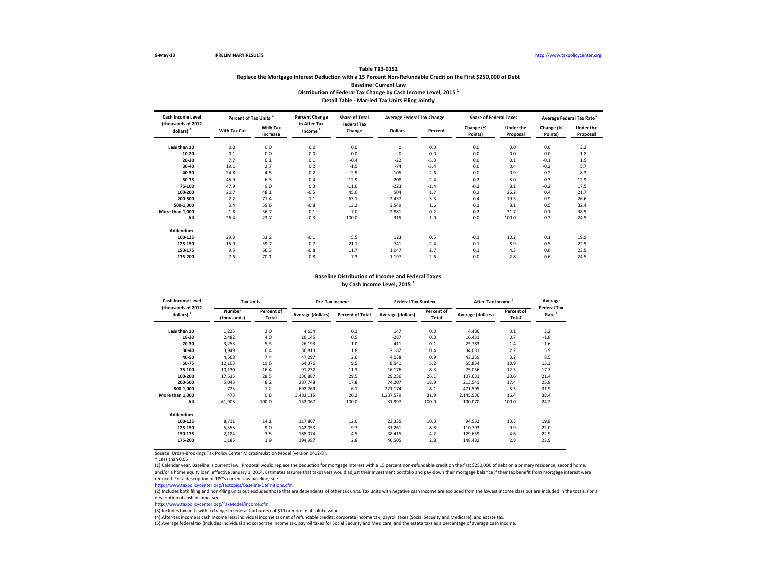## **Table T13-0152 Replace the Mortgage Interest Deduction with a 15 Percent Non-Refundable Credit on the First \$250,000 of Debt Baseline: Current Law Distribution of Federal Tax Change by Cash Income Level, 2015 <sup>1</sup> Detail Table - Married Tax Units Filing Jointly**

| <b>Cash Income Level</b><br>(thousands of 2012 |              | Percent of Tax Units <sup>3</sup> |                                     | <b>Share of Total</b><br><b>Federal Tax</b> | <b>Average Federal Tax Change</b> |         | <b>Share of Federal Taxes</b> |                              | Average Federal Tax Rate <sup>5</sup> |                              |
|------------------------------------------------|--------------|-----------------------------------|-------------------------------------|---------------------------------------------|-----------------------------------|---------|-------------------------------|------------------------------|---------------------------------------|------------------------------|
| dollars) $2$                                   | With Tax Cut | <b>With Tax</b><br>Increase       | in After-Tax<br>Income <sup>4</sup> | Change                                      | <b>Dollars</b>                    | Percent | Change (%<br>Points)          | <b>Under the</b><br>Proposal | Change (%<br>Points)                  | <b>Under the</b><br>Proposal |
| Less than 10                                   | 0.0          | 0.0                               | 0.0                                 | 0.0                                         | 0                                 | 0.0     | 0.0                           | 0.0                          | 0.0                                   | 3.2                          |
| 10-20                                          | 0.1          | 0.0                               | 0.0                                 | 0.0                                         | $\mathbf 0$                       | 0.0     | 0.0                           | 0.0                          | 0.0                                   | $-1.8$                       |
| 20-30                                          | 7.7          | 0.1                               | 0.1                                 | $-0.4$                                      | $-22$                             | $-5.3$  | 0.0                           | 0.1                          | $-0.1$                                | 1.5                          |
| 30-40                                          | 19.1         | 2.7                               | 0.2                                 | $-1.5$                                      | $-74$                             | $-3.4$  | 0.0                           | 0.4                          | $-0.2$                                | 5.7                          |
| 40-50                                          | 24.8         | 4.5                               | 0.2                                 | $-2.5$                                      | $-105$                            | $-2.6$  | 0.0                           | 0.9                          | $-0.2$                                | 8.3                          |
| 50-75                                          | 45.9         | 6.3                               | 0.4                                 | $-12.9$                                     | $-208$                            | $-2.4$  | $-0.2$                        | 5.0                          | $-0.3$                                | 12.9                         |
| 75-100                                         | 47.9         | 9.0                               | 0.3                                 | $-11.6$                                     | $-223$                            | $-1.4$  | $-0.2$                        | 8.1                          | $-0.2$                                | 17.5                         |
| 100-200                                        | 20.7         | 48.1                              | $-0.5$                              | 45.6                                        | 504                               | 1.7     | 0.2                           | 26.2                         | 0.4                                   | 21.7                         |
| 200-500                                        | 2.2          | 71.4                              | $-1.1$                              | 63.1                                        | 2,437                             | 3.3     | 0.4                           | 19.3                         | 0.9                                   | 26.6                         |
| 500-1,000                                      | 0.4          | 59.6                              | $-0.8$                              | 13.2                                        | 3,549                             | 1.6     | 0.1                           | 8.1                          | 0.5                                   | 32.4                         |
| More than 1,000                                | 1.8          | 36.7                              | $-0.1$                              | 7.0                                         | 2,881                             | 0.2     | $-0.2$                        | 31.7                         | 0.1                                   | 38.5                         |
| All                                            | 26.4         | 23.7                              | $-0.3$                              | 100.0                                       | 315                               | 1.0     | 0.0                           | 100.0                        | 0.2                                   | 24.5                         |
| Addendum                                       |              |                                   |                                     |                                             |                                   |         |                               |                              |                                       |                              |
| 100-125                                        | 29.0         | 33.2                              | $-0.1$                              | 5.5                                         | 123                               | 0.5     | $-0.1$                        | 10.2                         | 0.1                                   | 19.9                         |
| 125-150                                        | 15.0         | 59.7                              | $-0.7$                              | 21.1                                        | 741                               | 2.4     | 0.1                           | 8.9                          | 0.5                                   | 22.5                         |
| 150-175                                        | 9.5          | 66.3                              | $-0.8$                              | 11.7                                        | 1,047                             | 2.7     | 0.1                           | 4.3                          | 0.6                                   | 23.5                         |
| 175-200                                        | 7.6          | 70.1                              | $-0.8$                              | 7.3                                         | 1,197                             | 2.6     | 0.0                           | 2.8                          | 0.6                                   | 24.5                         |

### **Baseline Distribution of Income and Federal Taxes**

**by Cash Income Level, 2015 <sup>1</sup>**

| Cash Income Level<br>(thousands of 2012 |                              | <b>Tax Units</b>    |                   | Pre-Tax Income          |                   | <b>Federal Tax Burden</b> | After-Tax Income <sup>4</sup> |                     | Average<br><b>Federal Tax</b> |
|-----------------------------------------|------------------------------|---------------------|-------------------|-------------------------|-------------------|---------------------------|-------------------------------|---------------------|-------------------------------|
| dollars) $2$                            | <b>Number</b><br>(thousands) | Percent of<br>Total | Average (dollars) | <b>Percent of Total</b> | Average (dollars) | Percent of<br>Total       | Average (dollars)             | Percent of<br>Total | Rate <sup>5</sup>             |
| Less than 10                            | 1,225                        | 2.0                 | 4,634             | 0.1                     | 147               | 0.0                       | 4,486                         | 0.1                 | 3.2                           |
| 10-20                                   | 2,482                        | 4.0                 | 16,145            | 0.5                     | $-287$            | 0.0                       | 16,431                        | 0.7                 | $-1.8$                        |
| 20-30                                   | 3,253                        | 5.3                 | 26,193            | 1.0                     | 411               | 0.1                       | 25,783                        | 1.4                 | 1.6                           |
| 30-40                                   | 3,949                        | 6.4                 | 36,813            | 1.8                     | 2,182             | 0.4                       | 34,631                        | 2.2                 | 5.9                           |
| 40-50                                   | 4,568                        | 7.4                 | 47,297            | 2.6                     | 4,038             | 0.9                       | 43,259                        | 3.2                 | 8.5                           |
| 50-75                                   | 12,103                       | 19.6                | 64,376            | 9.5                     | 8,541             | 5.2                       | 55,834                        | 10.9                | 13.3                          |
| 75-100                                  | 10,130                       | 16.4                | 91,232            | 11.3                    | 16,176            | 8.3                       | 75,056                        | 12.3                | 17.7                          |
| 100-200                                 | 17,635                       | 28.5                | 136,887           | 29.5                    | 29,256            | 26.1                      | 107,631                       | 30.6                | 21.4                          |
| 200-500                                 | 5,043                        | 8.2                 | 287,748           | 17.8                    | 74,207            | 18.9                      | 213,541                       | 17.4                | 25.8                          |
| 500-1,000                               | 725                          | 1.2                 | 692,769           | 6.1                     | 221,174           | 8.1                       | 471,595                       | 5.5                 | 31.9                          |
| More than 1.000                         | 473                          | 0.8                 | 3,483,115         | 20.2                    | 1,337,579         | 31.9                      | 2,145,536                     | 16.4                | 38.4                          |
| All                                     | 61,905                       | 100.0               | 132,067           | 100.0                   | 31,997            | 100.0                     | 100,070                       | 100.0               | 24.2                          |
| Addendum                                |                              |                     |                   |                         |                   |                           |                               |                     |                               |
| 100-125                                 | 8,711                        | 14.1                | 117,867           | 12.6                    | 23,335            | 10.3                      | 94,532                        | 13.3                | 19.8                          |
| 125-150                                 | 5,555                        | 9.0                 | 142,053           | 9.7                     | 31,261            | 8.8                       | 110,793                       | 9.9                 | 22.0                          |
| 150-175                                 | 2,184                        | 3.5                 | 168,074           | 4.5                     | 38,415            | 4.2                       | 129,659                       | 4.6                 | 22.9                          |
| 175-200                                 | 1,185                        | 1.9                 | 194,987           | 2.8                     | 46,505            | 2.8                       | 148,482                       | 2.8                 | 23.9                          |

Source: Urban-Brookings Tax Policy Center Microsimulation Model (version 0412-8).

\* Less than 0.05

(1) Calendar year. Baseline is current law. Proposal would replace the deduction for mortgage interest with a 15 percent non-refundable credit on the first \$250,000 of debt on a primary residence, second home, and/or a home equity loan, effective January 1, 2014. Estimates assume that taxpayers would adjust their investment portfolio and pay down their mortgage balance if their tax benefit from mortgage interest were

<http://www.taxpolicycenter.org/taxtopics/Baseline-Definitions.cfm> reduced. For a description of TPC's current law baseline, see

(2) Includes both filing and non-filing units but excludes those that are dependents of other tax units. Tax units with negative cash income are excluded from the lowest income class but are included in the totals. For a description of cash income, see

[http://www.taxpolicycente](http://www.taxpolicycenter.org/TaxModel/income.cfm)r.org/TaxModel/income.cfm

(3) Includes tax units with a change in federal tax burden of \$10 or more in absolute value.

(4) After-tax income is cash income less: individual income tax net of refundable credits; corporate income tax; payroll taxes (Social Security and Medicare); and estate tax.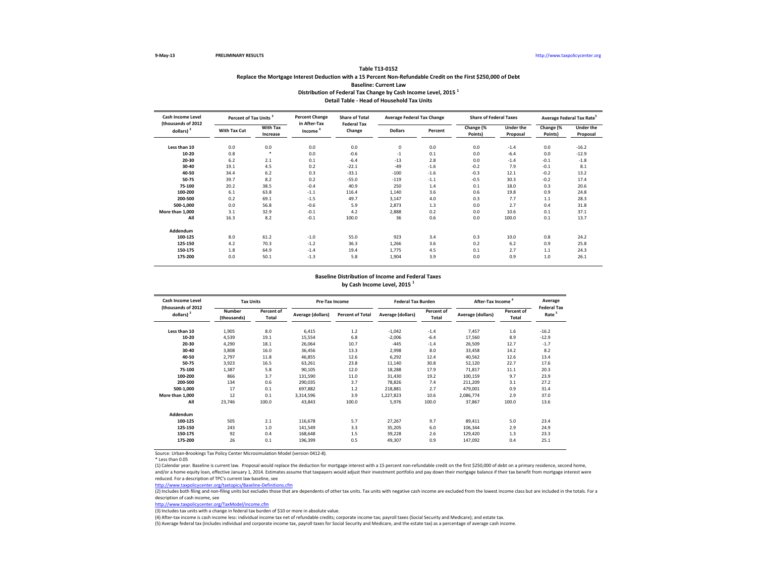## **Table T13-0152 Replace the Mortgage Interest Deduction with a 15 Percent Non-Refundable Credit on the First \$250,000 of Debt Baseline: Current Law Distribution of Federal Tax Change by Cash Income Level, 2015 <sup>1</sup> Detail Table - Head of Household Tax Units**

| Cash Income Level                  |              | Percent of Tax Units <sup>3</sup> |                                     | <b>Share of Total</b><br><b>Federal Tax</b> | <b>Average Federal Tax Change</b> |         | <b>Share of Federal Taxes</b> |                              | Average Federal Tax Rate <sup>5</sup> |                              |
|------------------------------------|--------------|-----------------------------------|-------------------------------------|---------------------------------------------|-----------------------------------|---------|-------------------------------|------------------------------|---------------------------------------|------------------------------|
| (thousands of 2012<br>dollars) $2$ | With Tax Cut | <b>With Tax</b><br>Increase       | in After-Tax<br>Income <sup>4</sup> | Change                                      | <b>Dollars</b>                    | Percent | Change (%<br>Points)          | <b>Under the</b><br>Proposal | Change (%<br>Points)                  | <b>Under the</b><br>Proposal |
| Less than 10                       | 0.0          | 0.0                               | 0.0                                 | 0.0                                         | $\mathbf 0$                       | 0.0     | 0.0                           | $-1.4$                       | 0.0                                   | $-16.2$                      |
| 10-20                              | 0.8          | $\ast$                            | 0.0                                 | $-0.6$                                      | $-1$                              | 0.1     | 0.0                           | $-6.4$                       | 0.0                                   | $-12.9$                      |
| 20-30                              | 6.2          | 2.1                               | 0.1                                 | $-6.4$                                      | $-13$                             | 2.8     | 0.0                           | $-1.4$                       | $-0.1$                                | $-1.8$                       |
| 30-40                              | 19.1         | 4.5                               | 0.2                                 | $-22.1$                                     | $-49$                             | $-1.6$  | $-0.2$                        | 7.9                          | $-0.1$                                | 8.1                          |
| 40-50                              | 34.4         | 6.2                               | 0.3                                 | $-33.1$                                     | $-100$                            | $-1.6$  | $-0.3$                        | 12.1                         | $-0.2$                                | 13.2                         |
| 50-75                              | 39.7         | 8.2                               | 0.2                                 | $-55.0$                                     | $-119$                            | $-1.1$  | $-0.5$                        | 30.3                         | $-0.2$                                | 17.4                         |
| 75-100                             | 20.2         | 38.5                              | $-0.4$                              | 40.9                                        | 250                               | 1.4     | 0.1                           | 18.0                         | 0.3                                   | 20.6                         |
| 100-200                            | 6.1          | 63.8                              | $-1.1$                              | 116.4                                       | 1,140                             | 3.6     | 0.6                           | 19.8                         | 0.9                                   | 24.8                         |
| 200-500                            | 0.2          | 69.1                              | $-1.5$                              | 49.7                                        | 3,147                             | 4.0     | 0.3                           | 7.7                          | $1.1$                                 | 28.3                         |
| 500-1,000                          | 0.0          | 56.8                              | $-0.6$                              | 5.9                                         | 2,873                             | 1.3     | 0.0                           | 2.7                          | 0.4                                   | 31.8                         |
| More than 1,000                    | 3.1          | 32.9                              | $-0.1$                              | 4.2                                         | 2,888                             | 0.2     | 0.0                           | 10.6                         | 0.1                                   | 37.1                         |
| All                                | 16.3         | 8.2                               | $-0.1$                              | 100.0                                       | 36                                | 0.6     | 0.0                           | 100.0                        | 0.1                                   | 13.7                         |
| Addendum                           |              |                                   |                                     |                                             |                                   |         |                               |                              |                                       |                              |
| 100-125                            | 8.0          | 61.2                              | $-1.0$                              | 55.0                                        | 923                               | 3.4     | 0.3                           | 10.0                         | 0.8                                   | 24.2                         |
| 125-150                            | 4.2          | 70.3                              | $-1.2$                              | 36.3                                        | 1,266                             | 3.6     | 0.2                           | 6.2                          | 0.9                                   | 25.8                         |
| 150-175                            | 1.8          | 64.9                              | $-1.4$                              | 19.4                                        | 1,775                             | 4.5     | 0.1                           | 2.7                          | 1.1                                   | 24.3                         |
| 175-200                            | 0.0          | 50.1                              | $-1.3$                              | 5.8                                         | 1,904                             | 3.9     | 0.0                           | 0.9                          | 1.0                                   | 26.1                         |

### **Baseline Distribution of Income and Federal Taxes**

**by Cash Income Level, 2015 <sup>1</sup>**

| Cash Income Level<br>(thousands of 2012 | <b>Tax Units</b>             |                     | Pre-Tax Income    |                         | <b>Federal Tax Burden</b> |                            | After-Tax Income <sup>4</sup> |                     | Average<br><b>Federal Tax</b> |
|-----------------------------------------|------------------------------|---------------------|-------------------|-------------------------|---------------------------|----------------------------|-------------------------------|---------------------|-------------------------------|
| dollars) $2$                            | <b>Number</b><br>(thousands) | Percent of<br>Total | Average (dollars) | <b>Percent of Total</b> | Average (dollars)         | Percent of<br><b>Total</b> | Average (dollars)             | Percent of<br>Total | Rate <sup>5</sup>             |
| Less than 10                            | 1,905                        | 8.0                 | 6,415             | 1.2                     | $-1,042$                  | $-1.4$                     | 7,457                         | 1.6                 | $-16.2$                       |
| 10-20                                   | 4,539                        | 19.1                | 15,554            | 6.8                     | $-2,006$                  | $-6.4$                     | 17,560                        | 8.9                 | $-12.9$                       |
| 20-30                                   | 4,290                        | 18.1                | 26,064            | 10.7                    | $-445$                    | $-1.4$                     | 26,509                        | 12.7                | $-1.7$                        |
| 30-40                                   | 3,808                        | 16.0                | 36,456            | 13.3                    | 2,998                     | 8.0                        | 33,458                        | 14.2                | 8.2                           |
| 40-50                                   | 2,797                        | 11.8                | 46,855            | 12.6                    | 6,292                     | 12.4                       | 40,562                        | 12.6                | 13.4                          |
| 50-75                                   | 3,923                        | 16.5                | 63,261            | 23.8                    | 11,140                    | 30.8                       | 52,120                        | 22.7                | 17.6                          |
| 75-100                                  | 1,387                        | 5.8                 | 90,105            | 12.0                    | 18,288                    | 17.9                       | 71,817                        | 11.1                | 20.3                          |
| 100-200                                 | 866                          | 3.7                 | 131,590           | 11.0                    | 31,430                    | 19.2                       | 100,159                       | 9.7                 | 23.9                          |
| 200-500                                 | 134                          | 0.6                 | 290,035           | 3.7                     | 78,826                    | 7.4                        | 211,209                       | 3.1                 | 27.2                          |
| 500-1,000                               | 17                           | 0.1                 | 697,882           | 1.2                     | 218,881                   | 2.7                        | 479,001                       | 0.9                 | 31.4                          |
| More than 1.000                         | 12                           | 0.1                 | 3,314,596         | 3.9                     | 1,227,823                 | 10.6                       | 2,086,774                     | 2.9                 | 37.0                          |
| All                                     | 23,746                       | 100.0               | 43,843            | 100.0                   | 5,976                     | 100.0                      | 37,867                        | 100.0               | 13.6                          |
| Addendum                                |                              |                     |                   |                         |                           |                            |                               |                     |                               |
| 100-125                                 | 505                          | 2.1                 | 116,678           | 5.7                     | 27,267                    | 9.7                        | 89,411                        | 5.0                 | 23.4                          |
| 125-150                                 | 243                          | 1.0                 | 141,549           | 3.3                     | 35,205                    | 6.0                        | 106,344                       | 2.9                 | 24.9                          |
| 150-175                                 | 92                           | 0.4                 | 168,648           | 1.5                     | 39,228                    | 2.6                        | 129,420                       | 1.3                 | 23.3                          |
| 175-200                                 | 26                           | 0.1                 | 196,399           | 0.5                     | 49,307                    | 0.9                        | 147,092                       | 0.4                 | 25.1                          |

Source: Urban-Brookings Tax Policy Center Microsimulation Model (version 0412-8).

\* Less than 0.05

(1) Calendar year. Baseline is current law. Proposal would replace the deduction for mortgage interest with a 15 percent non-refundable credit on the first \$250,000 of debt on a primary residence, second home, and/or a home equity loan, effective January 1, 2014. Estimates assume that taxpayers would adjust their investment portfolio and pay down their mortgage balance if their tax benefit from mortgage interest were

<http://www.taxpolicycenter.org/taxtopics/Baseline-Definitions.cfm> reduced. For a description of TPC's current law baseline, see

 $\frac{1}{(2)}$  Includes both filing and non-filing units but excludes those that are dependents of other tax units. Tax units with negative cash income are excluded from the lowest income class but are included in the totals. description of cash income, see

[http://www.taxpolicycente](http://www.taxpolicycenter.org/TaxModel/income.cfm)r.org/TaxModel/income.cfm

(3) Includes tax units with a change in federal tax burden of \$10 or more in absolute value.

(4) After-tax income is cash income less: individual income tax net of refundable credits; corporate income tax; payroll taxes (Social Security and Medicare); and estate tax.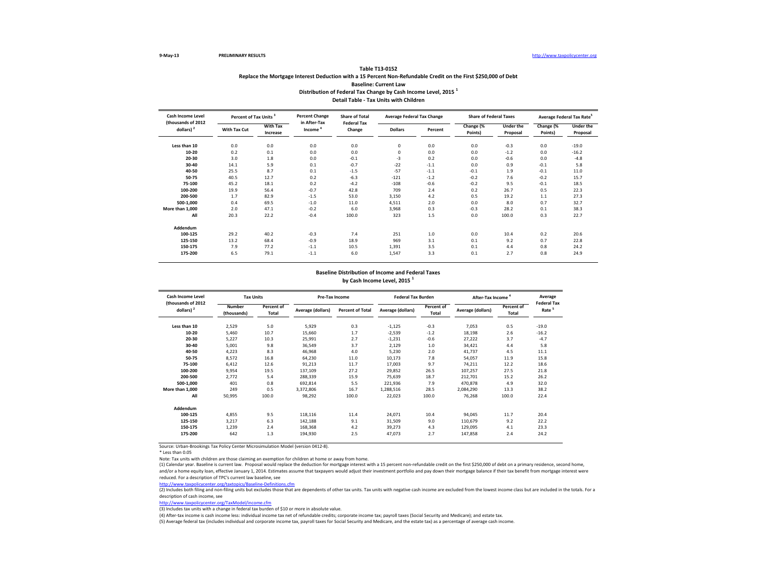## **Table T13-0152 Replace the Mortgage Interest Deduction with a 15 Percent Non-Refundable Credit on the First \$250,000 of Debt Baseline: Current Law Distribution of Federal Tax Change by Cash Income Level, 2015 <sup>1</sup> Detail Table - Tax Units with Children**

| Cash Income Level<br>(thousands of 2012 |              | Percent of Tax Units <sup>3</sup> |                                     | <b>Share of Total</b><br><b>Federal Tax</b> | <b>Average Federal Tax Change</b> |         | <b>Share of Federal Taxes</b> |                       | Average Federal Tax Rate <sup>5</sup> |                              |
|-----------------------------------------|--------------|-----------------------------------|-------------------------------------|---------------------------------------------|-----------------------------------|---------|-------------------------------|-----------------------|---------------------------------------|------------------------------|
| dollars) $2$                            | With Tax Cut | <b>With Tax</b><br>Increase       | in After-Tax<br>Income <sup>4</sup> | Change                                      | <b>Dollars</b>                    | Percent | Change (%<br>Points)          | Under the<br>Proposal | Change (%<br>Points)                  | <b>Under the</b><br>Proposal |
| Less than 10                            | 0.0          | 0.0                               | 0.0                                 | 0.0                                         | 0                                 | 0.0     | 0.0                           | $-0.3$                | 0.0                                   | $-19.0$                      |
| 10-20                                   | 0.2          | 0.1                               | 0.0                                 | 0.0                                         | 0                                 | 0.0     | 0.0                           | $-1.2$                | 0.0                                   | $-16.2$                      |
| 20-30                                   | 3.0          | 1.8                               | 0.0                                 | $-0.1$                                      | $-3$                              | 0.2     | 0.0                           | $-0.6$                | 0.0                                   | $-4.8$                       |
| 30-40                                   | 14.1         | 5.9                               | 0.1                                 | $-0.7$                                      | $-22$                             | $-1.1$  | 0.0                           | 0.9                   | $-0.1$                                | 5.8                          |
| 40-50                                   | 25.5         | 8.7                               | 0.1                                 | $-1.5$                                      | $-57$                             | $-1.1$  | $-0.1$                        | 1.9                   | $-0.1$                                | 11.0                         |
| 50-75                                   | 40.5         | 12.7                              | 0.2                                 | $-6.3$                                      | $-121$                            | $-1.2$  | $-0.2$                        | 7.6                   | $-0.2$                                | 15.7                         |
| 75-100                                  | 45.2         | 18.1                              | 0.2                                 | $-4.2$                                      | $-108$                            | $-0.6$  | $-0.2$                        | 9.5                   | $-0.1$                                | 18.5                         |
| 100-200                                 | 19.9         | 56.4                              | $-0.7$                              | 42.8                                        | 709                               | 2.4     | 0.2                           | 26.7                  | 0.5                                   | 22.3                         |
| 200-500                                 | 1.7          | 82.9                              | $-1.5$                              | 53.0                                        | 3,150                             | 4.2     | 0.5                           | 19.2                  | 1.1                                   | 27.3                         |
| 500-1,000                               | 0.4          | 69.5                              | $-1.0$                              | 11.0                                        | 4,511                             | 2.0     | 0.0                           | 8.0                   | 0.7                                   | 32.7                         |
| More than 1,000                         | 2.0          | 47.1                              | $-0.2$                              | 6.0                                         | 3,968                             | 0.3     | $-0.3$                        | 28.2                  | 0.1                                   | 38.3                         |
| All                                     | 20.3         | 22.2                              | $-0.4$                              | 100.0                                       | 323                               | 1.5     | 0.0                           | 100.0                 | 0.3                                   | 22.7                         |
| Addendum                                |              |                                   |                                     |                                             |                                   |         |                               |                       |                                       |                              |
| 100-125                                 | 29.2         | 40.2                              | $-0.3$                              | 7.4                                         | 251                               | 1.0     | 0.0                           | 10.4                  | 0.2                                   | 20.6                         |
| 125-150                                 | 13.2         | 68.4                              | $-0.9$                              | 18.9                                        | 969                               | 3.1     | 0.1                           | 9.2                   | 0.7                                   | 22.8                         |
| 150-175                                 | 7.9          | 77.2                              | $-1.1$                              | 10.5                                        | 1,391                             | 3.5     | 0.1                           | 4.4                   | 0.8                                   | 24.2                         |
| 175-200                                 | 6.5          | 79.1                              | $-1.1$                              | 6.0                                         | 1,547                             | 3.3     | 0.1                           | 2.7                   | 0.8                                   | 24.9                         |

# **Baseline Distribution of Income and Federal Taxes**

**by Cash Income Level, 2015 <sup>1</sup>**

| Cash Income Level<br>(thousands of 2012 | <b>Tax Units</b>      |                            |                   | Pre-Tax Income          |                   | <b>Federal Tax Burden</b>  | After-Tax Income  |                     | Average                                 |
|-----------------------------------------|-----------------------|----------------------------|-------------------|-------------------------|-------------------|----------------------------|-------------------|---------------------|-----------------------------------------|
| dollars) $2$                            | Number<br>(thousands) | Percent of<br><b>Total</b> | Average (dollars) | <b>Percent of Total</b> | Average (dollars) | Percent of<br><b>Total</b> | Average (dollars) | Percent of<br>Total | <b>Federal Tax</b><br>Rate <sup>5</sup> |
| Less than 10                            | 2,529                 | 5.0                        | 5,929             | 0.3                     | $-1,125$          | $-0.3$                     | 7,053             | 0.5                 | $-19.0$                                 |
| 10-20                                   | 5,460                 | 10.7                       | 15,660            | 1.7                     | $-2,539$          | $-1.2$                     | 18,198            | 2.6                 | $-16.2$                                 |
| 20-30                                   | 5,227                 | 10.3                       | 25,991            | 2.7                     | $-1,231$          | $-0.6$                     | 27,222            | 3.7                 | $-4.7$                                  |
| 30-40                                   | 5,001                 | 9.8                        | 36,549            | 3.7                     | 2,129             | 1.0                        | 34,421            | 4.4                 | 5.8                                     |
| 40-50                                   | 4,223                 | 8.3                        | 46,968            | 4.0                     | 5,230             | 2.0                        | 41,737            | 4.5                 | 11.1                                    |
| 50-75                                   | 8,572                 | 16.8                       | 64,230            | 11.0                    | 10,173            | 7.8                        | 54,057            | 11.9                | 15.8                                    |
| 75-100                                  | 6.412                 | 12.6                       | 91,213            | 11.7                    | 17.003            | 9.7                        | 74.211            | 12.2                | 18.6                                    |
| 100-200                                 | 9,954                 | 19.5                       | 137,109           | 27.2                    | 29,852            | 26.5                       | 107,257           | 27.5                | 21.8                                    |
| 200-500                                 | 2.772                 | 5.4                        | 288,339           | 15.9                    | 75,639            | 18.7                       | 212.701           | 15.2                | 26.2                                    |
| 500-1.000                               | 401                   | 0.8                        | 692,814           | 5.5                     | 221,936           | 7.9                        | 470,878           | 4.9                 | 32.0                                    |
| More than 1,000                         | 249                   | 0.5                        | 3,372,806         | 16.7                    | 1,288,516         | 28.5                       | 2,084,290         | 13.3                | 38.2                                    |
| All                                     | 50,995                | 100.0                      | 98,292            | 100.0                   | 22,023            | 100.0                      | 76,268            | 100.0               | 22.4                                    |
| Addendum                                |                       |                            |                   |                         |                   |                            |                   |                     |                                         |
| 100-125                                 | 4,855                 | 9.5                        | 118,116           | 11.4                    | 24,071            | 10.4                       | 94,045            | 11.7                | 20.4                                    |
| 125-150                                 | 3,217                 | 6.3                        | 142,188           | 9.1                     | 31,509            | 9.0                        | 110,679           | 9.2                 | 22.2                                    |
| 150-175                                 | 1,239                 | 2.4                        | 168,368           | 4.2                     | 39,273            | 4.3                        | 129,095           | 4.1                 | 23.3                                    |
| 175-200                                 | 642                   | 1.3                        | 194,930           | 2.5                     | 47,073            | 2.7                        | 147,858           | 2.4                 | 24.2                                    |
|                                         |                       |                            |                   |                         |                   |                            |                   |                     |                                         |

Source: Urban-Brookings Tax Policy Center Microsimulation Model (version 0412-8).

\* Less than 0.05

Note: Tax units with children are those claiming an exemption for children at home or away from home.

(1) Calendar year. Baseline is current law. Proposal would replace the deduction for mortgage interest with a 15 percent non-refundable credit on the first \$250,000 of debt on a primary residence, second home, and/or a home equity loan, effective January 1, 2014. Estimates assume that taxpayers would adjust their investment portfolio and pay down their mortgage balance if their tax benefit from mortgage interest were reduced. For a description of TPC's current law baseline, see

<u><http://www.taxpolicycenter.org/taxtopics/Baseline-Definitions.cfm></u><br>(2) Includes both filing and non-filing units but excludes those that are dependents of other tax units. Tax units with negative cash income are excluded description of cash income, see

[http://www.taxpolicycente](http://www.taxpolicycenter.org/TaxModel/income.cfm)r.org/TaxModel/income.cfm

(3) Includes tax units with a change in federal tax burden of \$10 or more in absolute value.

(4) After-tax income is cash income less: individual income tax net of refundable credits; corporate income tax; payroll taxes (Social Security and Medicare); and estate tax.